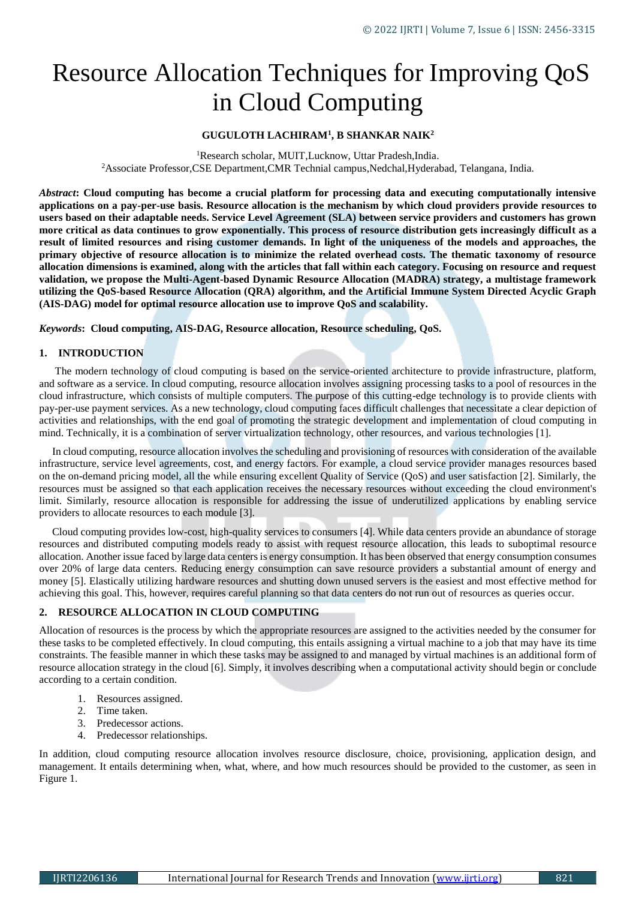# Resource Allocation Techniques for Improving QoS in Cloud Computing

### **GUGULOTH LACHIRAM<sup>1</sup> , B SHANKAR NAIK<sup>2</sup>**

<sup>1</sup>Research scholar, MUIT, Lucknow, Uttar Pradesh, India. <sup>2</sup>Associate Professor,CSE Department,CMR Technial campus,Nedchal,Hyderabad, Telangana, India.

*Abstract***: Cloud computing has become a crucial platform for processing data and executing computationally intensive applications on a pay-per-use basis. Resource allocation is the mechanism by which cloud providers provide resources to users based on their adaptable needs. Service Level Agreement (SLA) between service providers and customers has grown more critical as data continues to grow exponentially. This process of resource distribution gets increasingly difficult as a result of limited resources and rising customer demands. In light of the uniqueness of the models and approaches, the primary objective of resource allocation is to minimize the related overhead costs. The thematic taxonomy of resource allocation dimensions is examined, along with the articles that fall within each category. Focusing on resource and request validation, we propose the Multi-Agent-based Dynamic Resource Allocation (MADRA) strategy, a multistage framework utilizing the QoS-based Resource Allocation (QRA) algorithm, and the Artificial Immune System Directed Acyclic Graph (AIS-DAG) model for optimal resource allocation use to improve QoS and scalability.**

*Keywords***: Cloud computing, AIS-DAG, Resource allocation, Resource scheduling, QoS.**

### **1. INTRODUCTION**

The modern technology of cloud computing is based on the service-oriented architecture to provide infrastructure, platform, and software as a service. In cloud computing, resource allocation involves assigning processing tasks to a pool of resources in the cloud infrastructure, which consists of multiple computers. The purpose of this cutting-edge technology is to provide clients with pay-per-use payment services. As a new technology, cloud computing faces difficult challenges that necessitate a clear depiction of activities and relationships, with the end goal of promoting the strategic development and implementation of cloud computing in mind. Technically, it is a combination of server virtualization technology, other resources, and various technologies [1].

In cloud computing, resource allocation involves the scheduling and provisioning of resources with consideration of the available infrastructure, service level agreements, cost, and energy factors. For example, a cloud service provider manages resources based on the on-demand pricing model, all the while ensuring excellent Quality of Service (QoS) and user satisfaction [2]. Similarly, the resources must be assigned so that each application receives the necessary resources without exceeding the cloud environment's limit. Similarly, resource allocation is responsible for addressing the issue of underutilized applications by enabling service providers to allocate resources to each module [3].

Cloud computing provides low-cost, high-quality services to consumers [4]. While data centers provide an abundance of storage resources and distributed computing models ready to assist with request resource allocation, this leads to suboptimal resource allocation. Another issue faced by large data centers is energy consumption. It has been observed that energy consumption consumes over 20% of large data centers. Reducing energy consumption can save resource providers a substantial amount of energy and money [5]. Elastically utilizing hardware resources and shutting down unused servers is the easiest and most effective method for achieving this goal. This, however, requires careful planning so that data centers do not run out of resources as queries occur.

#### **2. RESOURCE ALLOCATION IN CLOUD COMPUTING**

Allocation of resources is the process by which the appropriate resources are assigned to the activities needed by the consumer for these tasks to be completed effectively. In cloud computing, this entails assigning a virtual machine to a job that may have its time constraints. The feasible manner in which these tasks may be assigned to and managed by virtual machines is an additional form of resource allocation strategy in the cloud [6]. Simply, it involves describing when a computational activity should begin or conclude according to a certain condition.

- 1. Resources assigned.
- 2. Time taken.
- 3. Predecessor actions.
- 4. Predecessor relationships.

In addition, cloud computing resource allocation involves resource disclosure, choice, provisioning, application design, and management. It entails determining when, what, where, and how much resources should be provided to the customer, as seen in Figure 1.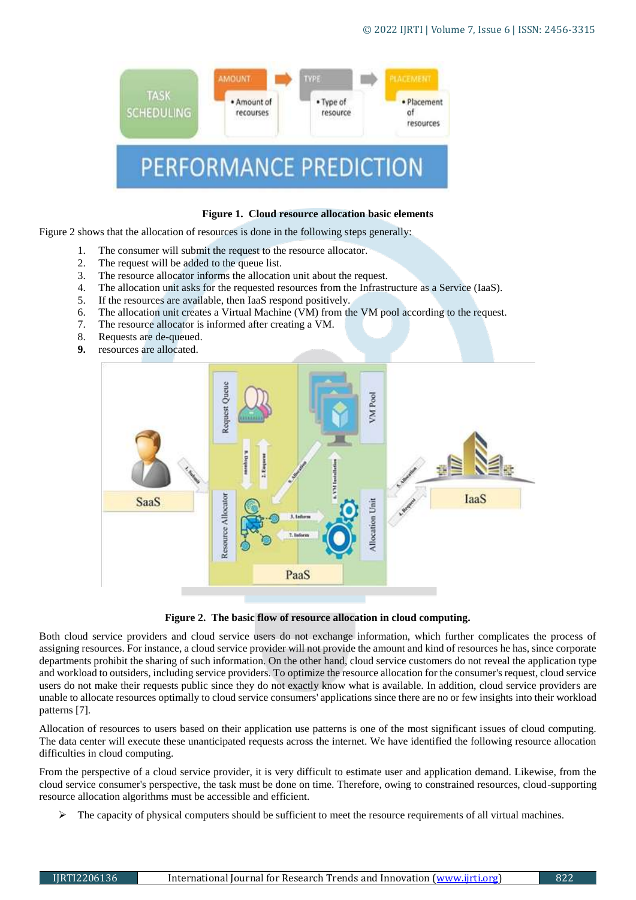

### **Figure 1. Cloud resource allocation basic elements**

Figure 2 shows that the allocation of resources is done in the following steps generally:

- 1. The consumer will submit the request to the resource allocator.
- 2. The request will be added to the queue list.
- 3. The resource allocator informs the allocation unit about the request.
- 4. The allocation unit asks for the requested resources from the Infrastructure as a Service (IaaS).
- 5. If the resources are available, then IaaS respond positively.
- 6. The allocation unit creates a Virtual Machine (VM) from the VM pool according to the request.
- 7. The resource allocator is informed after creating a VM.
- 8. Requests are de-queued.
- **9.** resources are allocated.



**Figure 2. The basic flow of resource allocation in cloud computing.**

Both cloud service providers and cloud service users do not exchange information, which further complicates the process of assigning resources. For instance, a cloud service provider will not provide the amount and kind of resources he has, since corporate departments prohibit the sharing of such information. On the other hand, cloud service customers do not reveal the application type and workload to outsiders, including service providers. To optimize the resource allocation for the consumer's request, cloud service users do not make their requests public since they do not exactly know what is available. In addition, cloud service providers are unable to allocate resources optimally to cloud service consumers' applications since there are no or few insights into their workload patterns [7].

Allocation of resources to users based on their application use patterns is one of the most significant issues of cloud computing. The data center will execute these unanticipated requests across the internet. We have identified the following resource allocation difficulties in cloud computing.

From the perspective of a cloud service provider, it is very difficult to estimate user and application demand. Likewise, from the cloud service consumer's perspective, the task must be done on time. Therefore, owing to constrained resources, cloud-supporting resource allocation algorithms must be accessible and efficient.

The capacity of physical computers should be sufficient to meet the resource requirements of all virtual machines.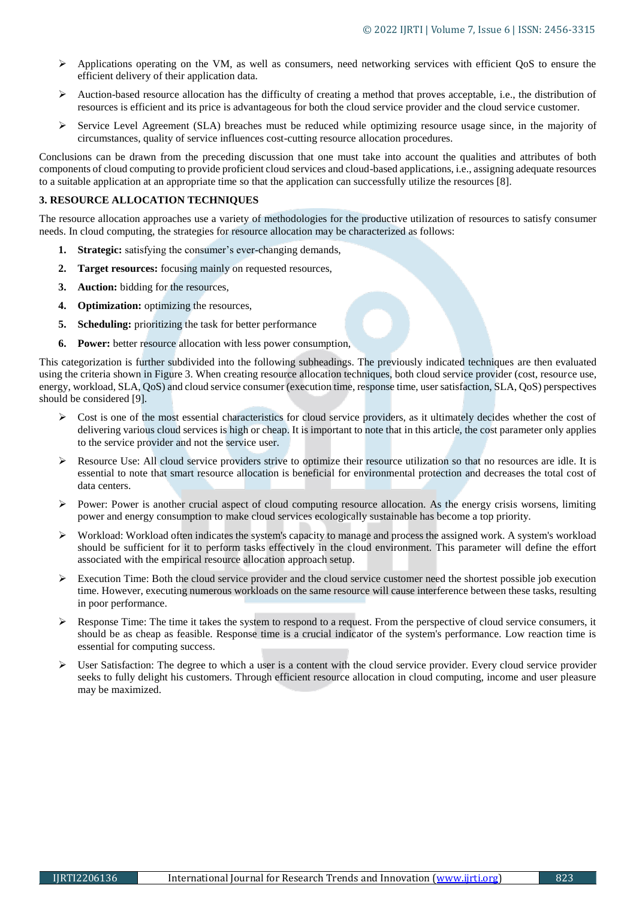- $\triangleright$  Applications operating on the VM, as well as consumers, need networking services with efficient QoS to ensure the efficient delivery of their application data.
- Auction-based resource allocation has the difficulty of creating a method that proves acceptable, i.e., the distribution of resources is efficient and its price is advantageous for both the cloud service provider and the cloud service customer.
- $\triangleright$  Service Level Agreement (SLA) breaches must be reduced while optimizing resource usage since, in the majority of circumstances, quality of service influences cost-cutting resource allocation procedures.

Conclusions can be drawn from the preceding discussion that one must take into account the qualities and attributes of both components of cloud computing to provide proficient cloud services and cloud-based applications, i.e., assigning adequate resources to a suitable application at an appropriate time so that the application can successfully utilize the resources [8].

### **3. RESOURCE ALLOCATION TECHNIQUES**

The resource allocation approaches use a variety of methodologies for the productive utilization of resources to satisfy consumer needs. In cloud computing, the strategies for resource allocation may be characterized as follows:

- **1. Strategic:** satisfying the consumer's ever-changing demands,
- **2. Target resources:** focusing mainly on requested resources,
- **3. Auction:** bidding for the resources,
- **4. Optimization:** optimizing the resources,
- **5. Scheduling:** prioritizing the task for better performance
- **6. Power:** better resource allocation with less power consumption,

This categorization is further subdivided into the following subheadings. The previously indicated techniques are then evaluated using the criteria shown in Figure 3. When creating resource allocation techniques, both cloud service provider (cost, resource use, energy, workload, SLA, QoS) and cloud service consumer (execution time, response time, user satisfaction, SLA, QoS) perspectives should be considered [9].

- Cost is one of the most essential characteristics for cloud service providers, as it ultimately decides whether the cost of delivering various cloud services is high or cheap. It is important to note that in this article, the cost parameter only applies to the service provider and not the service user.
- $\triangleright$  Resource Use: All cloud service providers strive to optimize their resource utilization so that no resources are idle. It is essential to note that smart resource allocation is beneficial for environmental protection and decreases the total cost of data centers.
- Power: Power is another crucial aspect of cloud computing resource allocation. As the energy crisis worsens, limiting power and energy consumption to make cloud services ecologically sustainable has become a top priority.
- Workload: Workload often indicates the system's capacity to manage and process the assigned work. A system's workload should be sufficient for it to perform tasks effectively in the cloud environment. This parameter will define the effort associated with the empirical resource allocation approach setup.
- Execution Time: Both the cloud service provider and the cloud service customer need the shortest possible job execution time. However, executing numerous workloads on the same resource will cause interference between these tasks, resulting in poor performance.
- $\triangleright$  Response Time: The time it takes the system to respond to a request. From the perspective of cloud service consumers, it should be as cheap as feasible. Response time is a crucial indicator of the system's performance. Low reaction time is essential for computing success.
- $\triangleright$  User Satisfaction: The degree to which a user is a content with the cloud service provider. Every cloud service provider seeks to fully delight his customers. Through efficient resource allocation in cloud computing, income and user pleasure may be maximized.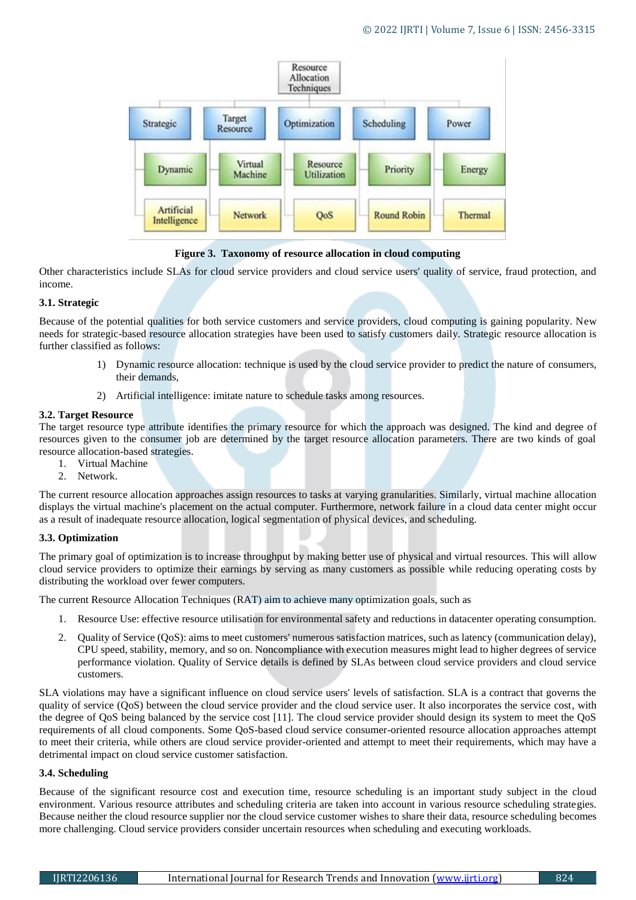

**Figure 3. Taxonomy of resource allocation in cloud computing**

Other characteristics include SLAs for cloud service providers and cloud service users' quality of service, fraud protection, and income.

# **3.1. Strategic**

Because of the potential qualities for both service customers and service providers, cloud computing is gaining popularity. New needs for strategic-based resource allocation strategies have been used to satisfy customers daily. Strategic resource allocation is further classified as follows:

- 1) Dynamic resource allocation: technique is used by the cloud service provider to predict the nature of consumers, their demands,
- 2) Artificial intelligence: imitate nature to schedule tasks among resources.

# **3.2. Target Resource**

The target resource type attribute identifies the primary resource for which the approach was designed. The kind and degree of resources given to the consumer job are determined by the target resource allocation parameters. There are two kinds of goal resource allocation-based strategies.

- 1. Virtual Machine
- 2. Network.

The current resource allocation approaches assign resources to tasks at varying granularities. Similarly, virtual machine allocation displays the virtual machine's placement on the actual computer. Furthermore, network failure in a cloud data center might occur as a result of inadequate resource allocation, logical segmentation of physical devices, and scheduling.

### **3.3. Optimization**

The primary goal of optimization is to increase throughput by making better use of physical and virtual resources. This will allow cloud service providers to optimize their earnings by serving as many customers as possible while reducing operating costs by distributing the workload over fewer computers.

The current Resource Allocation Techniques (RAT) aim to achieve many optimization goals, such as

- 1. Resource Use: effective resource utilisation for environmental safety and reductions in datacenter operating consumption.
- 2. Quality of Service (QoS): aims to meet customers' numerous satisfaction matrices, such as latency (communication delay), CPU speed, stability, memory, and so on. Noncompliance with execution measures might lead to higher degrees of service performance violation. Quality of Service details is defined by SLAs between cloud service providers and cloud service customers.

SLA violations may have a significant influence on cloud service users' levels of satisfaction. SLA is a contract that governs the quality of service (QoS) between the cloud service provider and the cloud service user. It also incorporates the service cost, with the degree of QoS being balanced by the service cost [11]. The cloud service provider should design its system to meet the QoS requirements of all cloud components. Some QoS-based cloud service consumer-oriented resource allocation approaches attempt to meet their criteria, while others are cloud service provider-oriented and attempt to meet their requirements, which may have a detrimental impact on cloud service customer satisfaction.

### **3.4. Scheduling**

Because of the significant resource cost and execution time, resource scheduling is an important study subject in the cloud environment. Various resource attributes and scheduling criteria are taken into account in various resource scheduling strategies. Because neither the cloud resource supplier nor the cloud service customer wishes to share their data, resource scheduling becomes more challenging. Cloud service providers consider uncertain resources when scheduling and executing workloads.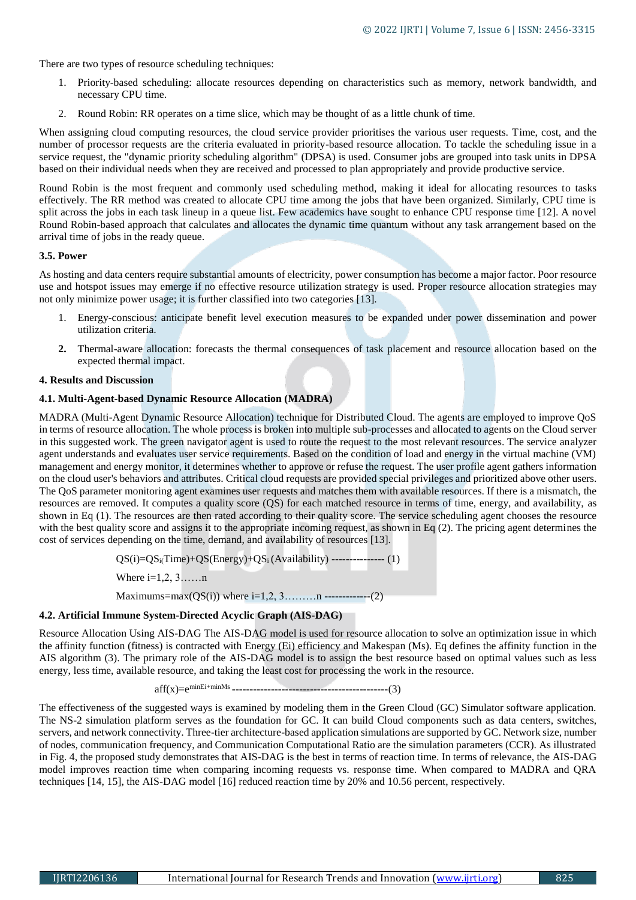There are two types of resource scheduling techniques:

- 1. Priority-based scheduling: allocate resources depending on characteristics such as memory, network bandwidth, and necessary CPU time.
- 2. Round Robin: RR operates on a time slice, which may be thought of as a little chunk of time.

When assigning cloud computing resources, the cloud service provider prioritises the various user requests. Time, cost, and the number of processor requests are the criteria evaluated in priority-based resource allocation. To tackle the scheduling issue in a service request, the "dynamic priority scheduling algorithm" (DPSA) is used. Consumer jobs are grouped into task units in DPSA based on their individual needs when they are received and processed to plan appropriately and provide productive service.

Round Robin is the most frequent and commonly used scheduling method, making it ideal for allocating resources to tasks effectively. The RR method was created to allocate CPU time among the jobs that have been organized. Similarly, CPU time is split across the jobs in each task lineup in a queue list. Few academics have sought to enhance CPU response time [12]. A novel Round Robin-based approach that calculates and allocates the dynamic time quantum without any task arrangement based on the arrival time of jobs in the ready queue.

### **3.5. Power**

As hosting and data centers require substantial amounts of electricity, power consumption has become a major factor. Poor resource use and hotspot issues may emerge if no effective resource utilization strategy is used. Proper resource allocation strategies may not only minimize power usage; it is further classified into two categories [13].

- 1. Energy-conscious: anticipate benefit level execution measures to be expanded under power dissemination and power utilization criteria.
- **2.** Thermal-aware allocation: forecasts the thermal consequences of task placement and resource allocation based on the expected thermal impact.

### **4. Results and Discussion**

### **4.1. Multi-Agent-based Dynamic Resource Allocation (MADRA)**

MADRA (Multi-Agent Dynamic Resource Allocation) technique for Distributed Cloud. The agents are employed to improve QoS in terms of resource allocation. The whole process is broken into multiple sub-processes and allocated to agents on the Cloud server in this suggested work. The green navigator agent is used to route the request to the most relevant resources. The service analyzer agent understands and evaluates user service requirements. Based on the condition of load and energy in the virtual machine (VM) management and energy monitor, it determines whether to approve or refuse the request. The user profile agent gathers information on the cloud user's behaviors and attributes. Critical cloud requests are provided special privileges and prioritized above other users. The QoS parameter monitoring agent examines user requests and matches them with available resources. If there is a mismatch, the resources are removed. It computes a quality score (QS) for each matched resource in terms of time, energy, and availability, as shown in Eq (1). The resources are then rated according to their quality score. The service scheduling agent chooses the resource with the best quality score and assigns it to the appropriate incoming request, as shown in Eq (2). The pricing agent determines the cost of services depending on the time, demand, and availability of resources [13].

 $QS(i)=QS<sub>ii</sub>Time)+QS(Energy)+QS<sub>i</sub> (Availability)$  ---------------- (1)

Where  $i=1,2, 3, \ldots, n$ 

Maximums=max(QS(i)) where  $i=1,2,3,...,...n$  --------------(2)

### **4.2. Artificial Immune System-Directed Acyclic Graph (AIS-DAG)**

Resource Allocation Using AIS-DAG The AIS-DAG model is used for resource allocation to solve an optimization issue in which the affinity function (fitness) is contracted with Energy (Ei) efficiency and Makespan (Ms). Eq defines the affinity function in the AIS algorithm (3). The primary role of the AIS-DAG model is to assign the best resource based on optimal values such as less energy, less time, available resource, and taking the least cost for processing the work in the resource.

aff(x)=eminEi+minMs --------------------------------------------(3)

The effectiveness of the suggested ways is examined by modeling them in the Green Cloud (GC) Simulator software application. The NS-2 simulation platform serves as the foundation for GC. It can build Cloud components such as data centers, switches, servers, and network connectivity. Three-tier architecture-based application simulations are supported by GC. Network size, number of nodes, communication frequency, and Communication Computational Ratio are the simulation parameters (CCR). As illustrated in Fig. 4, the proposed study demonstrates that AIS-DAG is the best in terms of reaction time. In terms of relevance, the AIS-DAG model improves reaction time when comparing incoming requests vs. response time. When compared to MADRA and QRA techniques [14, 15], the AIS-DAG model [16] reduced reaction time by 20% and 10.56 percent, respectively.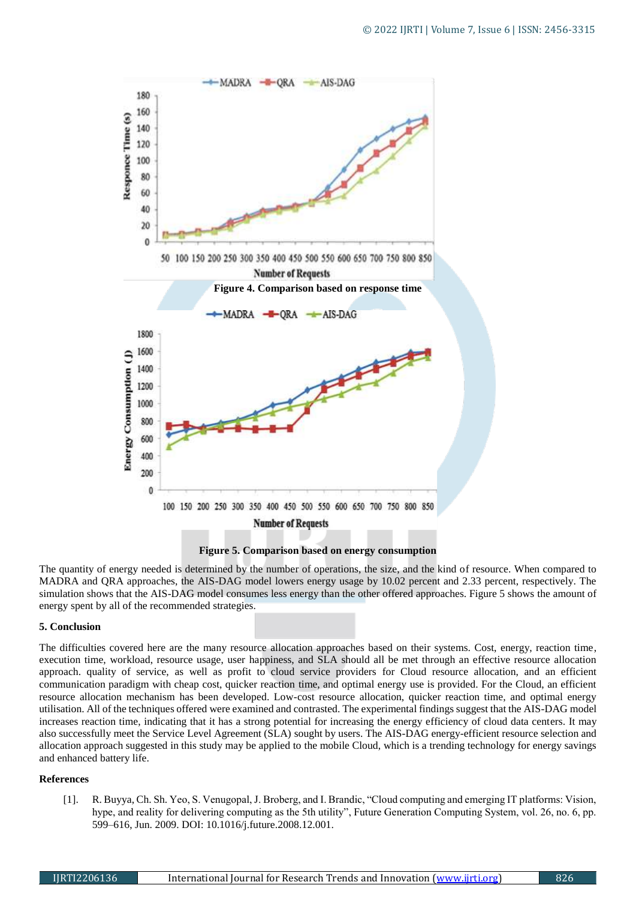

**Figure 5. Comparison based on energy consumption**

The quantity of energy needed is determined by the number of operations, the size, and the kind of resource. When compared to MADRA and QRA approaches, the AIS-DAG model lowers energy usage by 10.02 percent and 2.33 percent, respectively. The simulation shows that the AIS-DAG model consumes less energy than the other offered approaches. Figure 5 shows the amount of energy spent by all of the recommended strategies.

### **5. Conclusion**

The difficulties covered here are the many resource allocation approaches based on their systems. Cost, energy, reaction time, execution time, workload, resource usage, user happiness, and SLA should all be met through an effective resource allocation approach. quality of service, as well as profit to cloud service providers for Cloud resource allocation, and an efficient communication paradigm with cheap cost, quicker reaction time, and optimal energy use is provided. For the Cloud, an efficient resource allocation mechanism has been developed. Low-cost resource allocation, quicker reaction time, and optimal energy utilisation. All of the techniques offered were examined and contrasted. The experimental findings suggest that the AIS-DAG model increases reaction time, indicating that it has a strong potential for increasing the energy efficiency of cloud data centers. It may also successfully meet the Service Level Agreement (SLA) sought by users. The AIS-DAG energy-efficient resource selection and allocation approach suggested in this study may be applied to the mobile Cloud, which is a trending technology for energy savings and enhanced battery life.

### **References**

[1]. R. Buyya, Ch. Sh. Yeo, S. Venugopal, J. Broberg, and I. Brandic, "Cloud computing and emerging IT platforms: Vision, hype, and reality for delivering computing as the 5th utility", Future Generation Computing System, vol. 26, no. 6, pp. 599–616, Jun. 2009. DOI: 10.1016/j.future.2008.12.001.